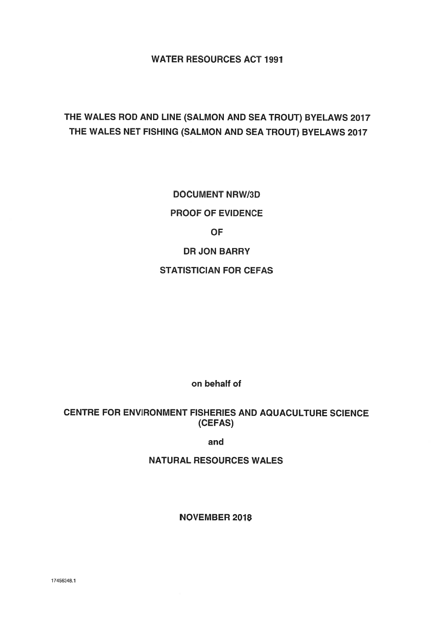WATER RESOURCES ACT 1991

# THE WALES ROD AND LINE (SALMON AND SEA TROUT) BYELAWS 2017 THE WALES NET FISHING (SALMON AND SEA TROUT) BYELAWS 2017

DOCUMENT NRW/3D PROOF OF EVIDENCE **OF** DR JON BARRY STATISTICIAN FOR CEFAS

on behalf of

## CENTRE FOR ENVIRONMENT FISHERIES AND AQUACULTURE SCIENCE (CEFAS)

and

NATURAL RESOURCES WALES

NOVEMBER 2018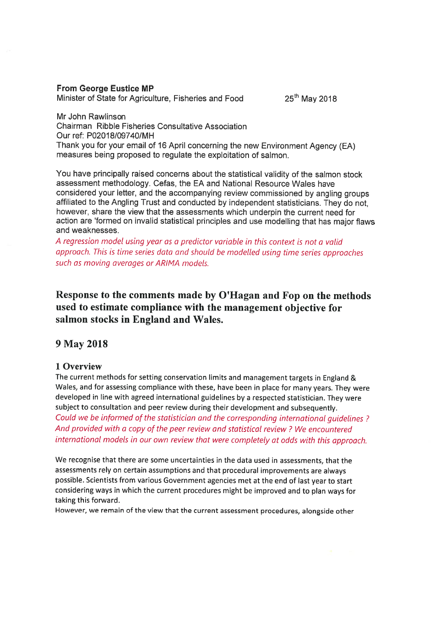## From George Eustice MP

Minister of State for Agriculture, Fisheries and Food 25<sup>th</sup> May 2018

Mr John Rawlinson Chairman Ribble Fisheries Consultative Association Our ref: P02018/09740/MH Thank you for your email of <sup>16</sup> April concerning the new Environment Agency (EA) measures being proposed to regulate the exploitation of salmon.

You have principally raised concerns about the statistical validity of the salmon stock assessment methodology. Cefas, the EA and National Resource Wales have considered your letter, and the accompanying review commissioned by angling groups affiliated to the Angling Trust and conducted by independent statisticians. They do not, however, share the view that the assessments which underpin the current need for action are 'formed on invalid statistical principles and use modelling that has major flaws and weaknesses.

A regression model using year as <sup>a</sup> predictor variable in this context is not <sup>a</sup> valid approach. This is time series data and shoutd be modelled using time series approaches such as moving averages or AR/MA models.

## Response to the comments made by O'Hagan and Fop on the methods used to estimate compliance with the management objective for salmon stocks in England and Wales.

## 9 May 2018

## 1 Overview

The current methods for setting conservation limits and managemen<sup>t</sup> targets in England & Wales, and for assessing compliance with these, have been in <sup>p</sup>lace for many years. They were developed in line with agree<sup>d</sup> international guidelines by <sup>a</sup> respected statistician. They were subject to consultation and peer review during their development and subsequently. Could we be informed of the statistician and the corresponding international guidelines? And provided with <sup>a</sup> copy of the peer review and statistical review? We encountered international models in our own review that were completely at odds with this approach.

We recognise that there are some uncertainties in the data used in assessments, that the assessments rely on certain assumptions and that procedural improvements are always possible. Scientists from various Government agencies met at the end of last year to start considering ways in which the current procedures might be improved and to <sup>p</sup>lan ways for taking this forward.

However, we remain of the view that the current assessment procedures, alongside other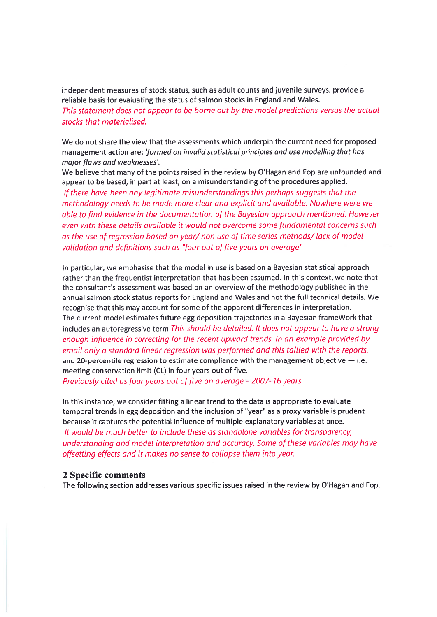independent measures of stock status, such as adult counts and juvenile surveys, provide <sup>a</sup> reliable basis for evaluating the status of salmon stocks in England and Wales. This statement does not appear to be borne out by the modet predictions versus the actuat stocks that materialised

We do not share the view that the assessments which underpin the current need for proposed managemen<sup>t</sup> action are: 'formed on invalid statistical principles and use modelling that has major flaws and weaknesses'.

We believe that many of the points raised in the review by O'Hagan and Fop are unfounded and appear to be based, in par<sup>t</sup> at least, on <sup>a</sup> misunderstanding of the procedures applied. If there have been any legitimate misunderstandings this perhaps suggests that the methodology needs to be made more clear and explicit and available. Nowhere were we able to find evidence in the documentation of the Bayesian approach mentioned. However even with these details available it would not overcome some fundamental concerns such as the use of regression based on year/ non use of time series methods/ lack of mode validation and definitions such as "four out of five years on average

In particular, we emphasise that the model in use is based on <sup>a</sup> Bayesian statistical approach rather than the frequentist interpretation that has been assumed. In this context, we note that the consultant's assessment was based on an overview of the methodology published in the annual salmon stock status reports for England and Wales and not the full technical details. We recognise that this may account for some of the apparen<sup>t</sup> differences in interpretation. The current model estimates future egg deposition trajectories in <sup>a</sup> Bayesian frameWork that includes an autoregressive term This should be detailed. It does not appear to have <sup>a</sup> strong enough influence in correcting for the recent upward trends. In an example provided by email only a standard linear regression was performed and this tallied with the reports and 20-percentile regression to estimate compliance with the management objective  $-$  i.e meeting conservation limit (CL) in four years out of five.

Previously cited as four years out of five on average - 2007-16 years

In this instance, we consider fitting <sup>a</sup> linear trend to the data is appropriate to evaluate temporal trends in egg deposition and the inclusion of "year" as <sup>a</sup> proxy variable is prudent because it captures the potential influence of multiple explanatory variables at once. It would be much better to include these as standalone variables for transparency, understanding and model interpretation and accuracy. Some of these variables may have offsetting effects and it makes no sense to collapse them into year.

#### 2 Specific comments

The following section addresses various specific issues raised in the review by O'Hagan and Fop.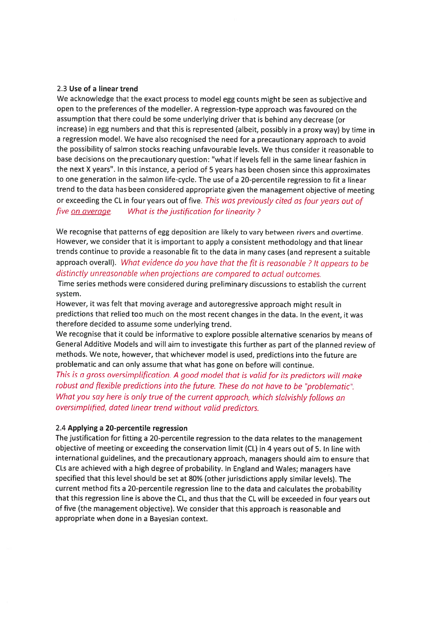#### 2.3 Use of <sup>a</sup> linear trend

We acknowledge that the exact process to model egg counts might be seen as subjective and open to the preferences of the modeller. <sup>A</sup> regression-type approac<sup>h</sup> was favoured on the assumption that there could be some underlying driver that is behind any decrease (or increase) in egg numbers and that this is represented (albeit, possibly in <sup>a</sup> proxy way) by time in <sup>a</sup> regression model. We have also recognised the need for <sup>a</sup> precautionary approac<sup>h</sup> to avoid the possibility of salmon stocks reaching unfavourable levels. We thus consider it reasonable to base decisions on the precautionary question: "what if levels fell in the same linear fashion in the next <sup>X</sup> years". In this instance, <sup>a</sup> period of <sup>5</sup> years has been chosen since this approximates to one generation in the salmon life-cycle. The use of <sup>a</sup> 20-percentile regression to fit <sup>a</sup> linear trend to the data has been considered appropriate <sup>g</sup>iven the managemen<sup>t</sup> objective of meeting or exceeding the CL in four years out of five. This was previously cited as four years out of five <u>on average</u>. What is the justification for linearity?

We recognise that patterns of egg deposition are likely to vary between rivers and overtime. However, we consider that it is important to apply <sup>a</sup> consistent methodology and that linear trends continue to provide <sup>a</sup> reasonable fit to the data in many cases (and represen<sup>t</sup> <sup>a</sup> suitable approac<sup>h</sup> overall). What evidence do you have that the fit is reasonable ? It appears to be distinctly unreasonable when projections are compared to actual outcomes.

Time series methods were considered during preliminary discussions to establish the current system.

However, it was felt that moving average and autoregressive approac<sup>h</sup> might result in predictions that relied too much on the most recent changes in the data. In the event, it was therefore decided to assume some underlying trend.

We recognise that it could be informative to explore possible alternative scenarios by means of General Additive Models and will aim to investigate this further as par<sup>t</sup> of the <sup>p</sup>lanned review of methods. We note, however, that whichever model is used, predictions into the future are problematic and can only assume that what has gone on before will continue.

This is <sup>a</sup> gross oversimptification. <sup>A</sup> goo<sup>d</sup> model that is valid for its predictors wilt make robust and flexible predictions into the future. These do not have to be "problematic". What you say here is only true of the current approach, which stalvishly follows an oversimplified, dated linear trend without valid predictors.

#### 2.4 Applying <sup>a</sup> 20-percentile regression

The justification for fitting <sup>a</sup> 20-percentile regression to the data relates to the managemen<sup>t</sup> objective of meeting or exceeding the conservation limit (CL) in <sup>4</sup> years out of 5. In line with international guidelines, and the precautionary approach, managers should aim to ensure that CLs are achieved with <sup>a</sup> high degree of probability. In England and Wales; managers have specified that this level should be set at 80% (other jurisdictions apply similar levels). The current method fits <sup>a</sup> 20-percentile regression line to the data and calculates the probability that this regression line is above the CL, and thus that the CL will be exceeded in four years out of five (the managemen<sup>t</sup> objective). We consider that this approac<sup>h</sup> is reasonable and appropriate when done in <sup>a</sup> Bayesian context.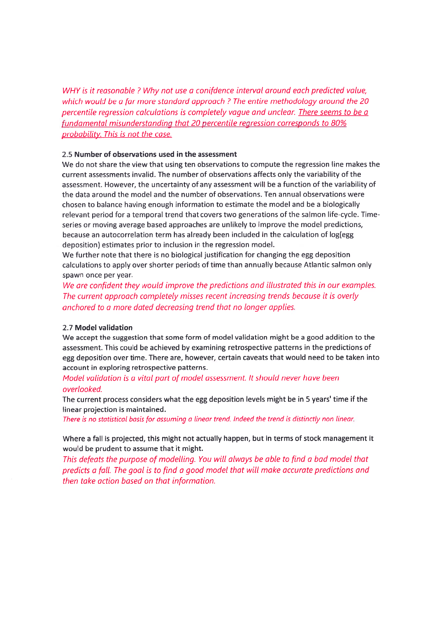WHY is it reasonable ? Why not use <sup>a</sup> conifdence interval around each predicted value, which would be <sup>a</sup> far more standard approach ? The entire methodology around the 20 percentile regression calculations is completely vague and unclear. There seems to be <sup>a</sup> fundamental misunderstanding that 20 percentile regression corresponds to 80% probability. This is not the case.

#### 2.5 Number of observations used in the assessment

We do not share the view that using ten observations to compute the regression line makes the current assessments invalid. The number of observations affects only the variability of the assessment. However, the uncertainty of any assessment will be <sup>a</sup> function of the variability of the data around the model and the number of observations. Ten annual observations were chosen to balance having enough information to estimate the model and be <sup>a</sup> biologically relevant period for <sup>a</sup> temporal trend that covers two generations of the salmon life-cycle. Timeseries or moving average based approaches are unlikely to improve the model predictions, because an autocorrelation term has already been included in the calculation of log(egg deposition) estimates prior to inclusion in the regression model.

We further note that there is no biological justification for changing the egg deposition calculations to apply over shorter periods of time than annually because Atlantic salmon only spawn once per year.

We are confident they woutd improve the predictions and illustrated this in our examples. The current approach completely misses recent increasing trends because it is overly anchored to <sup>a</sup> more dated decreasing trend that no longer applies.

#### 2.7 Model validation

We accep<sup>t</sup> the suggestion that some form of model validation might be <sup>a</sup> good addition to the assessment. This could be achieved by examining retrospective patterns in the predictions of egg deposition over time. There are, however, certain caveats that would need to be taken into account in exploring retrospective patterns.

#### Model validation is <sup>a</sup> vital par<sup>t</sup> of model assessment. It should never have been overlooked.

The current process considers what the egg deposition levels might be in 5 years' time if the linear projection is maintained.

There is no statisticat basis for assuming <sup>a</sup> tinear trend. Indeed the trend is distinctly non linear.

### Where <sup>a</sup> fall is projected, this might not actually happen, but in terms of stock managemen<sup>t</sup> it would be prudent to assume that it might.

This defeats the purpose of modelling. You will always be able to find <sup>a</sup> bad model that predicts a fall. The goal is to find a good model that will make accurate predictions and then take action based on that information.